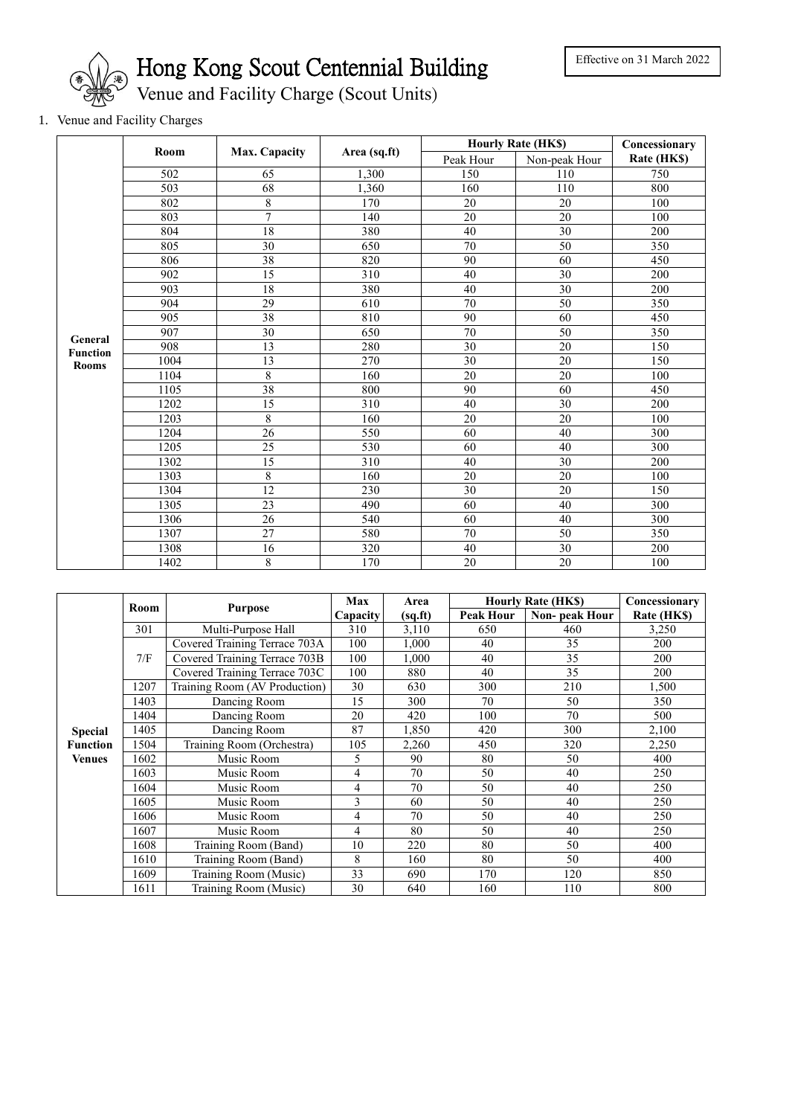

Hong Kong Scout Centennial Building

Venue and Facility Charge (Scout Units)

## 1. Venue and Facility Charges

|                                            | Room | Max. Capacity   | Area (sq.ft)     | <b>Hourly Rate (HK\$)</b> | Concessionary   |             |
|--------------------------------------------|------|-----------------|------------------|---------------------------|-----------------|-------------|
|                                            |      |                 |                  | Peak Hour                 | Non-peak Hour   | Rate (HK\$) |
| General<br><b>Function</b><br><b>Rooms</b> | 502  | 65              | 1,300            | 150                       | 110             | 750         |
|                                            | 503  | 68              | 1,360            | 160                       | 110             | 800         |
|                                            | 802  | 8               | 170              | 20                        | 20              | 100         |
|                                            | 803  | 7               | 140              | 20                        | 20              | 100         |
|                                            | 804  | 18              | 380              | 40                        | 30              | 200         |
|                                            | 805  | 30              | 650              | 70                        | 50              | 350         |
|                                            | 806  | 38              | 820              | 90                        | 60              | 450         |
|                                            | 902  | 15              | 310              | 40                        | 30              | 200         |
|                                            | 903  | 18              | 380              | 40                        | 30              | 200         |
|                                            | 904  | $\overline{29}$ | 610              | 70                        | $\overline{50}$ | 350         |
|                                            | 905  | 38              | 810              | 90                        | 60              | 450         |
|                                            | 907  | 30              | 650              | 70                        | 50              | 350         |
|                                            | 908  | 13              | 280              | 30                        | 20              | 150         |
|                                            | 1004 | 13              | 270              | 30                        | 20              | 150         |
|                                            | 1104 | 8               | 160              | 20                        | 20              | 100         |
|                                            | 1105 | 38              | 800              | 90                        | 60              | 450         |
|                                            | 1202 | 15              | 310              | 40                        | 30              | 200         |
|                                            | 1203 | 8               | 160              | 20                        | 20              | 100         |
|                                            | 1204 | 26              | 550              | 60                        | 40              | 300         |
|                                            | 1205 | 25              | 530              | 60                        | 40              | 300         |
|                                            | 1302 | $\overline{15}$ | $\overline{310}$ | 40                        | $\overline{30}$ | 200         |
|                                            | 1303 | $\overline{8}$  | 160              | 20                        | 20              | 100         |
|                                            | 1304 | 12              | 230              | 30                        | 20              | 150         |
|                                            | 1305 | 23              | 490              | 60                        | 40              | 300         |
|                                            | 1306 | 26              | 540              | 60                        | 40              | 300         |
|                                            | 1307 | 27              | 580              | 70                        | 50              | 350         |
|                                            | 1308 | 16              | 320              | 40                        | 30              | 200         |
|                                            | 1402 | 8               | 170              | 20                        | 20              | 100         |

|                 | Room | <b>Purpose</b>                | Max             | Area    | <b>Hourly Rate (HK\$)</b> |               | Concessionary |
|-----------------|------|-------------------------------|-----------------|---------|---------------------------|---------------|---------------|
|                 |      |                               | <b>Capacity</b> | (sq.fr) | <b>Peak Hour</b>          | Non-peak Hour | Rate (HK\$)   |
|                 | 301  | Multi-Purpose Hall            | 310             | 3,110   | 650                       | 460           | 3,250         |
|                 | 7/F  | Covered Training Terrace 703A | 100             | 1,000   | 40                        | 35            | 200           |
|                 |      | Covered Training Terrace 703B | 100             | 1.000   | 40                        | 35            | 200           |
|                 |      | Covered Training Terrace 703C | 100             | 880     | 40                        | 35            | 200           |
|                 | 1207 | Training Room (AV Production) | 30              | 630     | 300                       | 210           | 1,500         |
|                 | 1403 | Dancing Room                  | 15              | 300     | 70                        | 50            | 350           |
|                 | 1404 | Dancing Room                  | 20              | 420     | 100                       | 70            | 500           |
| <b>Special</b>  | 1405 | Dancing Room                  | 87              | 1,850   | 420                       | 300           | 2,100         |
| <b>Function</b> | 1504 | Training Room (Orchestra)     | 105             | 2,260   | 450                       | 320           | 2,250         |
| <b>Venues</b>   | 1602 | Music Room                    | 5               | 90      | 80                        | 50            | 400           |
|                 | 1603 | Music Room                    | 4               | 70      | 50                        | 40            | 250           |
|                 | 1604 | Music Room                    | 4               | 70      | 50                        | 40            | 250           |
|                 | 1605 | Music Room                    | 3               | 60      | 50                        | 40            | 250           |
|                 | 1606 | Music Room                    | 4               | 70      | 50                        | 40            | 250           |
|                 | 1607 | Music Room                    | 4               | 80      | 50                        | 40            | 250           |
|                 | 1608 | Training Room (Band)          | 10              | 220     | 80                        | 50            | 400           |
|                 | 1610 | Training Room (Band)          | 8               | 160     | 80                        | 50            | 400           |
|                 | 1609 | Training Room (Music)         | 33              | 690     | 170                       | 120           | 850           |
|                 | 1611 | Training Room (Music)         | 30              | 640     | 160                       | 110           | 800           |